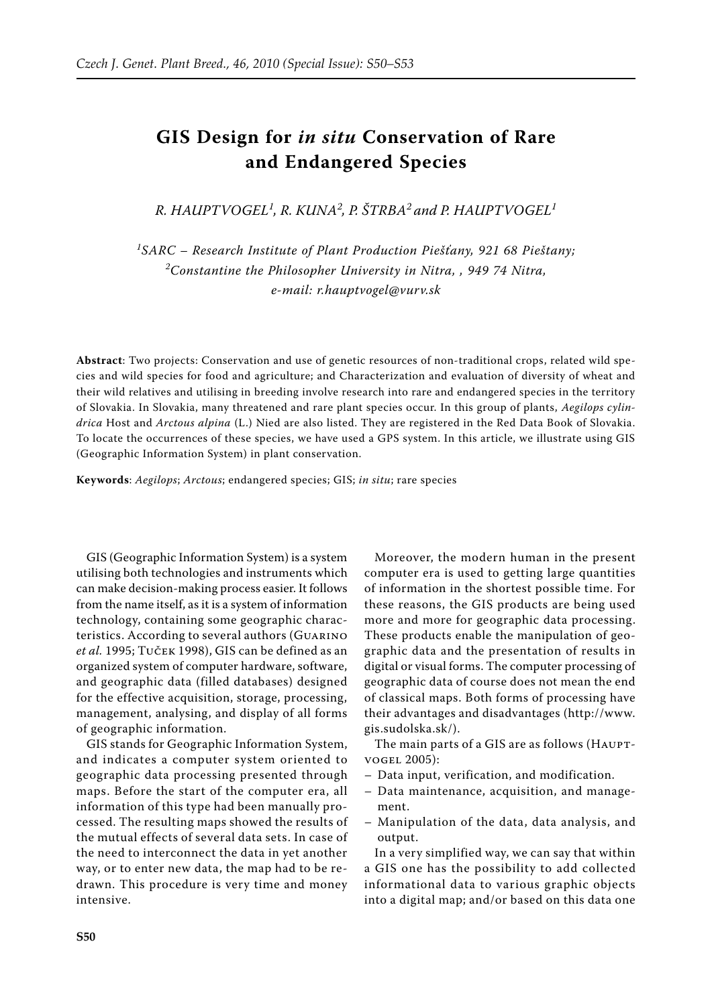# **GIS Design for** *in situ* **Conservation of Rare and Endangered Species**

*R. Hauptvogel<sup>1</sup> , R. Kuna<sup>2</sup> , P. Štrba2 and P. Hauptvogel<sup>1</sup>*

<sup>1</sup>SARC – Research Institute of Plant Production Piešťany, 921 68 Pieštany; *2 Constantine the Philosopher University in Nitra, , 949 74 Nitra, e-mail: r.hauptvogel@vurv.sk*

**Abstract**: Two projects: Conservation and use of genetic resources of non-traditional crops, related wild species and wild species for food and agriculture; and Characterization and evaluation of diversity of wheat and their wild relatives and utilising in breeding involve research into rare and endangered species in the territory of Slovakia. In Slovakia, many threatened and rare plant species occur. In this group of plants, *Aegilops cylindrica* Host and *Arctous alpina* (L.) Nied are also listed. They are registered in the Red Data Book of Slovakia. To locate the occurrences of these species, we have used a GPS system. In this article, we illustrate using GIS (Geographic Information System) in plant conservation.

**Keywords**: *Aegilops*; *Arctous*; endangered species; GIS; *in situ*; rare species

GIS (Geographic Information System) is a system utilising both technologies and instruments which can make decision-making process easier. It follows from the name itself, as it is a system of information technology, containing some geographic characteristics. According to several authors (Guarino *et al.* 1995; Tuček 1998), GIS can be defined as an organized system of computer hardware, software, and geographic data (filled databases) designed for the effective acquisition, storage, processing, management, analysing, and display of all forms of geographic information.

GIS stands for Geographic Information System, and indicates a computer system oriented to geographic data processing presented through maps. Before the start of the computer era, all information of this type had been manually processed. The resulting maps showed the results of the mutual effects of several data sets. In case of the need to interconnect the data in yet another way, or to enter new data, the map had to be redrawn. This procedure is very time and money intensive.

Moreover, the modern human in the present computer era is used to getting large quantities of information in the shortest possible time. For these reasons, the GIS products are being used more and more for geographic data processing. These products enable the manipulation of geographic data and the presentation of results in digital or visual forms. The computer processing of geographic data of course does not mean the end of classical maps. Both forms of processing have their advantages and disadvantages (http://www. gis.sudolska.sk/).

The main parts of a GIS are as follows (HAUPTvogel 2005):

- Data input, verification, and modification.
- Data maintenance, acquisition, and management.
- Manipulation of the data, data analysis, and output.

In a very simplified way, we can say that within a GIS one has the possibility to add collected informational data to various graphic objects into a digital map; and/or based on this data one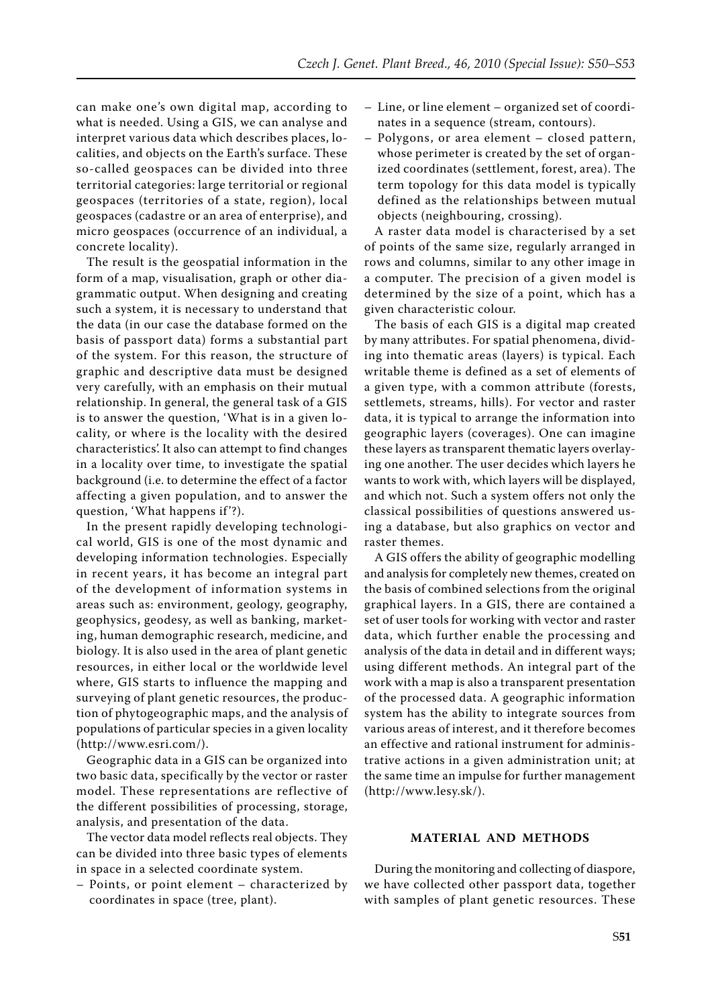can make one's own digital map, according to what is needed. Using a GIS, we can analyse and interpret various data which describes places, localities, and objects on the Earth's surface. These so-called geospaces can be divided into three territorial categories: large territorial or regional geospaces (territories of a state, region), local geospaces (cadastre or an area of enterprise), and micro geospaces (occurrence of an individual, a concrete locality).

The result is the geospatial information in the form of a map, visualisation, graph or other diagrammatic output. When designing and creating such a system, it is necessary to understand that the data (in our case the database formed on the basis of passport data) forms a substantial part of the system. For this reason, the structure of graphic and descriptive data must be designed very carefully, with an emphasis on their mutual relationship. In general, the general task of a GIS is to answer the question, 'What is in a given locality, or where is the locality with the desired characteristics'. It also can attempt to find changes in a locality over time, to investigate the spatial background (i.e. to determine the effect of a factor affecting a given population, and to answer the question, 'What happens if '?).

In the present rapidly developing technological world, GIS is one of the most dynamic and developing information technologies. Especially in recent years, it has become an integral part of the development of information systems in areas such as: environment, geology, geography, geophysics, geodesy, as well as banking, marketing, human demographic research, medicine, and biology. It is also used in the area of plant genetic resources, in either local or the worldwide level where, GIS starts to influence the mapping and surveying of plant genetic resources, the production of phytogeographic maps, and the analysis of populations of particular species in a given locality (http://www.esri.com/).

Geographic data in a GIS can be organized into two basic data, specifically by the vector or raster model. These representations are reflective of the different possibilities of processing, storage, analysis, and presentation of the data.

The vector data model reflects real objects. They can be divided into three basic types of elements in space in a selected coordinate system.

– Points, or point element – characterized by coordinates in space (tree, plant).

- Line, or line element organized set of coordinates in a sequence (stream, contours).
- Polygons, or area element closed pattern, whose perimeter is created by the set of organized coordinates (settlement, forest, area). The term topology for this data model is typically defined as the relationships between mutual objects (neighbouring, crossing).

A raster data model is characterised by a set of points of the same size, regularly arranged in rows and columns, similar to any other image in a computer. The precision of a given model is determined by the size of a point, which has a given characteristic colour.

The basis of each GIS is a digital map created by many attributes. For spatial phenomena, dividing into thematic areas (layers) is typical. Each writable theme is defined as a set of elements of a given type, with a common attribute (forests, settlemets, streams, hills). For vector and raster data, it is typical to arrange the information into geographic layers (coverages). One can imagine these layers as transparent thematic layers overlaying one another. The user decides which layers he wants to work with, which layers will be displayed, and which not. Such a system offers not only the classical possibilities of questions answered using a database, but also graphics on vector and raster themes.

A GIS offers the ability of geographic modelling and analysis for completely new themes, created on the basis of combined selections from the original graphical layers. In a GIS, there are contained a set of user tools for working with vector and raster data, which further enable the processing and analysis of the data in detail and in different ways; using different methods. An integral part of the work with a map is also a transparent presentation of the processed data. A geographic information system has the ability to integrate sources from various areas of interest, and it therefore becomes an effective and rational instrument for administrative actions in a given administration unit; at the same time an impulse for further management (http://www.lesy.sk/).

### **MATERIAL AND METHODS**

During the monitoring and collecting of diaspore, we have collected other passport data, together with samples of plant genetic resources. These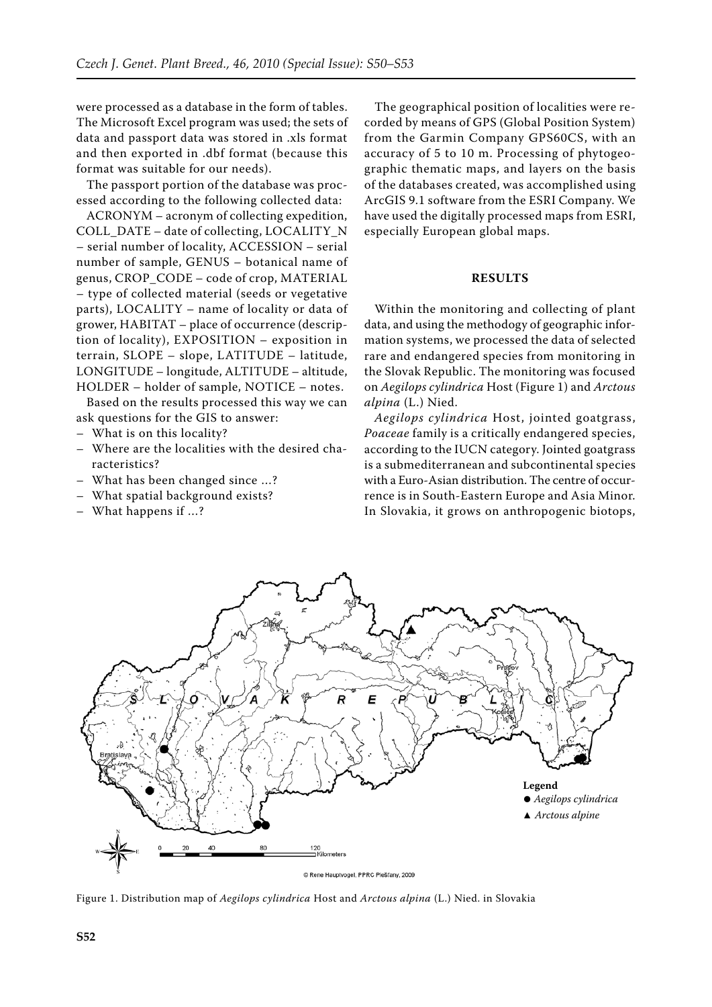were processed as a database in the form of tables. The Microsoft Excel program was used; the sets of data and passport data was stored in .xls format and then exported in .dbf format (because this format was suitable for our needs).

The passport portion of the database was processed according to the following collected data:

ACRONYM – acronym of collecting expedition, COLL\_DATE – date of collecting, LOCALITY\_N – serial number of locality, ACCESSION – serial number of sample, GENUS – botanical name of genus, CROP\_CODE – code of crop, MATERIAL – type of collected material (seeds or vegetative parts), LOCALITY – name of locality or data of grower, HABITAT – place of occurrence (description of locality), EXPOSITION – exposition in terrain, SLOPE – slope, LATITUDE – latitude, LONGITUDE – longitude, ALTITUDE – altitude, HOLDER – holder of sample, NOTICE – notes.

Based on the results processed this way we can ask questions for the GIS to answer:

- What is on this locality?
- Where are the localities with the desired characteristics?
- What has been changed since …?
- What spatial background exists?
- What happens if …?

The geographical position of localities were recorded by means of GPS (Global Position System) from the Garmin Company GPS60CS, with an accuracy of 5 to 10 m. Processing of phytogeographic thematic maps, and layers on the basis of the databases created, was accomplished using ArcGIS 9.1 software from the ESRI Company. We have used the digitally processed maps from ESRI, especially European global maps.

#### **RESULTS**

Within the monitoring and collecting of plant data, and using the methodogy of geographic information systems, we processed the data of selected rare and endangered species from monitoring in the Slovak Republic. The monitoring was focused on *Aegilops cylindrica* Host (Figure 1) and *Arctous alpina* (L.) Nied.

*Aegilops cylindrica* Host, jointed goatgrass, *Poaceae* family is a critically endangered species, according to the IUCN category. Jointed goatgrass is a submediterranean and subcontinental species with a Euro-Asian distribution. The centre of occurrence is in South-Eastern Europe and Asia Minor. In Slovakia, it grows on anthropogenic biotops,



Figure 1. Distribution map of *Aegilops cylindrica* Host and *Arctous alpina* (L.) Nied. in Slovakia